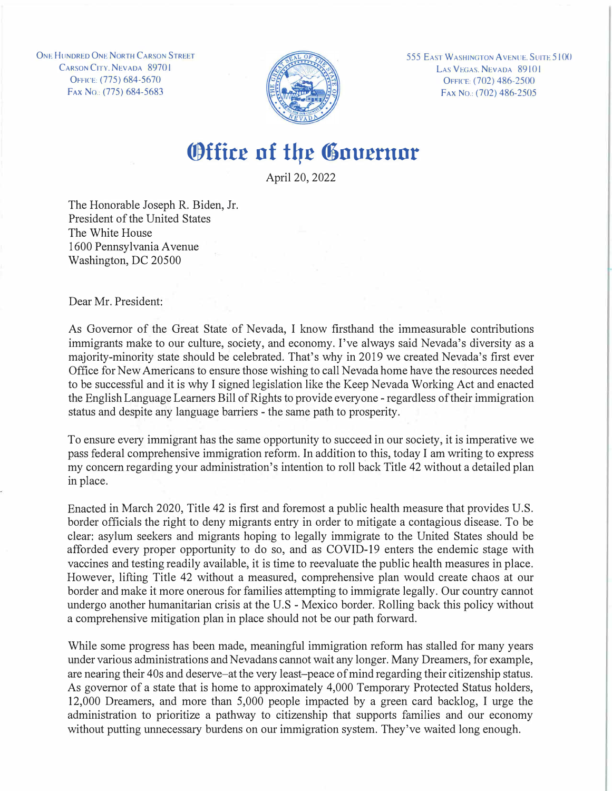**ONE HUNDRED ONE NORTH CARSON STREET** CARSON CITY, NEVADA 89701 OrFICE: (775) 684-5670 FAx No.: (775) 684-5683



**555 EAST WASHINGTON AVENUE. SUITE 5100** LAS VEGAS, NEVADA 89101 OFFICE: (702) 486-2500 FAX No.: (702) 486-2505

## **Office of the Governor**

April 20, 2022

The Honorable Joseph R. Biden, Jr. President of the United States The White House 1600 Pennsylvania A venue Washington, DC 20500

Dear Mr. President:

As Governor of the Great State of Nevada, I know firsthand the immeasurable contributions immigrants make to our culture, society, and economy. I've always said Nevada's diversity as a majority-minority state should be celebrated. That's why in 2019 we created Nevada's first ever Office for New Americans to ensure those wishing to call Nevada home have the resources needed to be successful and it is why I signed legislation like the Keep Nevada Working Act and enacted the English Language Learners Bill of Rights to provide everyone - regardless of their immigration status and despite any language barriers - the same path to prosperity.

To ensure every immigrant has the same opportunity to succeed in our society, it is imperative we pass federal comprehensive immigration reform. In addition to this, today I am writing to express my concern regarding your administration's intention to roll back Title 42 without a detailed plan in place.

Enacted in March 2020, Title 42 is first and foremost a public health measure that provides U.S. border officials the right to deny migrants entry in order to mitigate a contagious disease. To be clear: asylum seekers and migrants hoping to legally immigrate to the United States should be afforded every proper opportunity to do so, and as COVID-19 enters the endemic stage with vaccines and testing readily available, it is time to reevaluate the public health measures in place. However, lifting Title 42 without a measured, comprehensive plan would create chaos at our border and make it more onerous for families attempting to immigrate legally. Our country cannot undergo another humanitarian crisis at the U.S - Mexico border. Rolling back this policy without a comprehensive mitigation plan in place should not be our path forward.

While some progress has been made, meaningful immigration reform has stalled for many years under various administrations and Nevadans cannot wait any longer. Many Dreamers, for example, are nearing their 40s and deserve-at the very least-peace of mind regarding their citizenship status. As governor of a state that is home to approximately 4,000 Temporary Protected Status holders, 12,000 Dreamers, and more than 5,000 people impacted by a green card backlog, I urge the administration to prioritize a pathway to citizenship that supports families and our economy without putting unnecessary burdens on our immigration system. They've waited long enough.